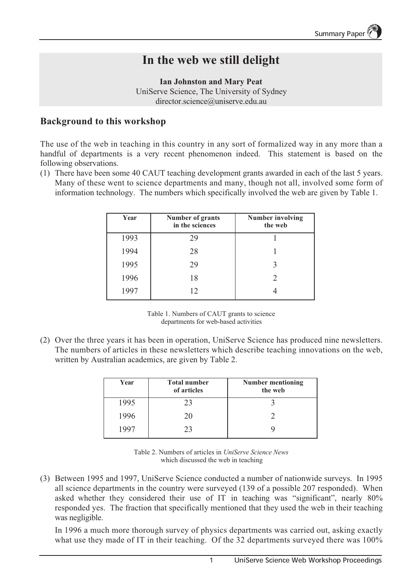# **In the web we still delight**

**Ian Johnston and Mary Peat** UniServe Science, The University of Sydney director.science@uniserve.edu.au

# **Background to this workshop**

The use of the web in teaching in this country in any sort of formalized way in any more than a handful of departments is a very recent phenomenon indeed. This statement is based on the following observations.

(1) There have been some 40 CAUT teaching development grants awarded in each of the last 5 years. Many of these went to science departments and many, though not all, involved some form of information technology. The numbers which specifically involved the web are given by Table 1.

| Year | <b>Number of grants</b><br>in the sciences | <b>Number involving</b><br>the web |
|------|--------------------------------------------|------------------------------------|
| 1993 | 29                                         |                                    |
| 1994 | 28                                         |                                    |
| 1995 | 29                                         |                                    |
| 1996 | 18                                         | $\mathcal{D}$                      |
| 1997 | 12                                         |                                    |

Table 1. Numbers of CAUT grants to science departments for web-based activities

(2) Over the three years it has been in operation, UniServe Science has produced nine newsletters. The numbers of articles in these newsletters which describe teaching innovations on the web, written by Australian academics, are given by Table 2.

| Year  | <b>Total number</b><br>of articles | <b>Number mentioning</b><br>the web |
|-------|------------------------------------|-------------------------------------|
| 1995  | 23                                 |                                     |
| 1996  | 20                                 |                                     |
| 1 Q Q | 23                                 |                                     |



(3) Between 1995 and 1997, UniServe Science conducted a number of nationwide surveys. In 1995 all science departments in the country were surveyed (139 of a possible 207 responded). When asked whether they considered their use of IT in teaching was "significant", nearly 80% responded yes. The fraction that specifically mentioned that they used the web in their teaching was negligible.

In 1996 a much more thorough survey of physics departments was carried out, asking exactly what use they made of IT in their teaching. Of the 32 departments surveyed there was 100%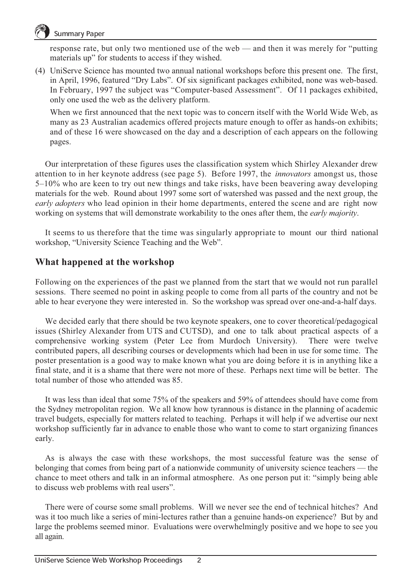

## Summary Paper

response rate, but only two mentioned use of the web — and then it was merely for "putting materials up" for students to access if they wished.

(4) UniServe Science has mounted two annual national workshops before this present one. The first, in April, 1996, featured "Dry Labs". Of six significant packages exhibited, none was web-based. In February, 1997 the subject was "Computer-based Assessment". Of 11 packages exhibited, only one used the web as the delivery platform.

When we first announced that the next topic was to concern itself with the World Wide Web, as many as 23 Australian academics offered projects mature enough to offer as hands-on exhibits; and of these 16 were showcased on the day and a description of each appears on the following pages.

Our interpretation of these figures uses the classification system which Shirley Alexander drew attention to in her keynote address (see page 5). Before 1997, the *innovators* amongst us, those 5–10% who are keen to try out new things and take risks, have been beavering away developing materials for the web. Round about 1997 some sort of watershed was passed and the next group, the *early adopters* who lead opinion in their home departments, entered the scene and are right now working on systems that will demonstrate workability to the ones after them, the *early majority*.

It seems to us therefore that the time was singularly appropriate to mount our third national workshop, "University Science Teaching and the Web".

## **What happened at the workshop**

Following on the experiences of the past we planned from the start that we would not run parallel sessions. There seemed no point in asking people to come from all parts of the country and not be able to hear everyone they were interested in. So the workshop was spread over one-and-a-half days.

We decided early that there should be two keynote speakers, one to cover theoretical/pedagogical issues (Shirley Alexander from UTS and CUTSD), and one to talk about practical aspects of a comprehensive working system (Peter Lee from Murdoch University). There were twelve contributed papers, all describing courses or developments which had been in use for some time. The poster presentation is a good way to make known what you are doing before it is in anything like a final state, and it is a shame that there were not more of these. Perhaps next time will be better. The total number of those who attended was 85.

It was less than ideal that some 75% of the speakers and 59% of attendees should have come from the Sydney metropolitan region. We all know how tyrannous is distance in the planning of academic travel budgets, especially for matters related to teaching. Perhaps it will help if we advertise our next workshop sufficiently far in advance to enable those who want to come to start organizing finances early.

As is always the case with these workshops, the most successful feature was the sense of belonging that comes from being part of a nationwide community of university science teachers — the chance to meet others and talk in an informal atmosphere. As one person put it: "simply being able to discuss web problems with real users".

There were of course some small problems. Will we never see the end of technical hitches? And was it too much like a series of mini-lectures rather than a genuine hands-on experience? But by and large the problems seemed minor. Evaluations were overwhelmingly positive and we hope to see you all again.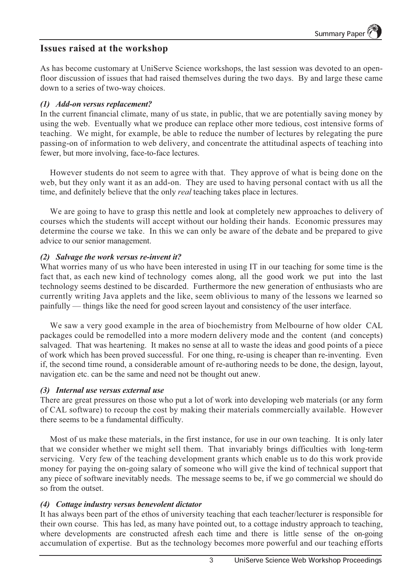## **Issues raised at the workshop**

As has become customary at UniServe Science workshops, the last session was devoted to an openfloor discussion of issues that had raised themselves during the two days. By and large these came down to a series of two-way choices.

#### *(1) Add-on versus replacement?*

In the current financial climate, many of us state, in public, that we are potentially saving money by using the web. Eventually what we produce can replace other more tedious, cost intensive forms of teaching. We might, for example, be able to reduce the number of lectures by relegating the pure passing-on of information to web delivery, and concentrate the attitudinal aspects of teaching into fewer, but more involving, face-to-face lectures.

However students do not seem to agree with that. They approve of what is being done on the web, but they only want it as an add-on. They are used to having personal contact with us all the time, and definitely believe that the only *real* teaching takes place in lectures.

We are going to have to grasp this nettle and look at completely new approaches to delivery of courses which the students will accept without our holding their hands. Economic pressures may determine the course we take. In this we can only be aware of the debate and be prepared to give advice to our senior management.

#### *(2) Salvage the work versus re-invent it?*

What worries many of us who have been interested in using IT in our teaching for some time is the fact that, as each new kind of technology comes along, all the good work we put into the last technology seems destined to be discarded. Furthermore the new generation of enthusiasts who are currently writing Java applets and the like, seem oblivious to many of the lessons we learned so painfully — things like the need for good screen layout and consistency of the user interface.

We saw a very good example in the area of biochemistry from Melbourne of how older CAL packages could be remodelled into a more modern delivery mode and the content (and concepts) salvaged. That was heartening. It makes no sense at all to waste the ideas and good points of a piece of work which has been proved successful. For one thing, re-using is cheaper than re-inventing. Even if, the second time round, a considerable amount of re-authoring needs to be done, the design, layout, navigation etc. can be the same and need not be thought out anew.

#### *(3) Internal use versus external use*

There are great pressures on those who put a lot of work into developing web materials (or any form of CAL software) to recoup the cost by making their materials commercially available. However there seems to be a fundamental difficulty.

Most of us make these materials, in the first instance, for use in our own teaching. It is only later that we consider whether we might sell them. That invariably brings difficulties with long-term servicing. Very few of the teaching development grants which enable us to do this work provide money for paying the on-going salary of someone who will give the kind of technical support that any piece of software inevitably needs. The message seems to be, if we go commercial we should do so from the outset.

#### *(4) Cottage industry versus benevolent dictator*

It has always been part of the ethos of university teaching that each teacher/lecturer is responsible for their own course. This has led, as many have pointed out, to a cottage industry approach to teaching, where developments are constructed afresh each time and there is little sense of the on-going accumulation of expertise. But as the technology becomes more powerful and our teaching efforts